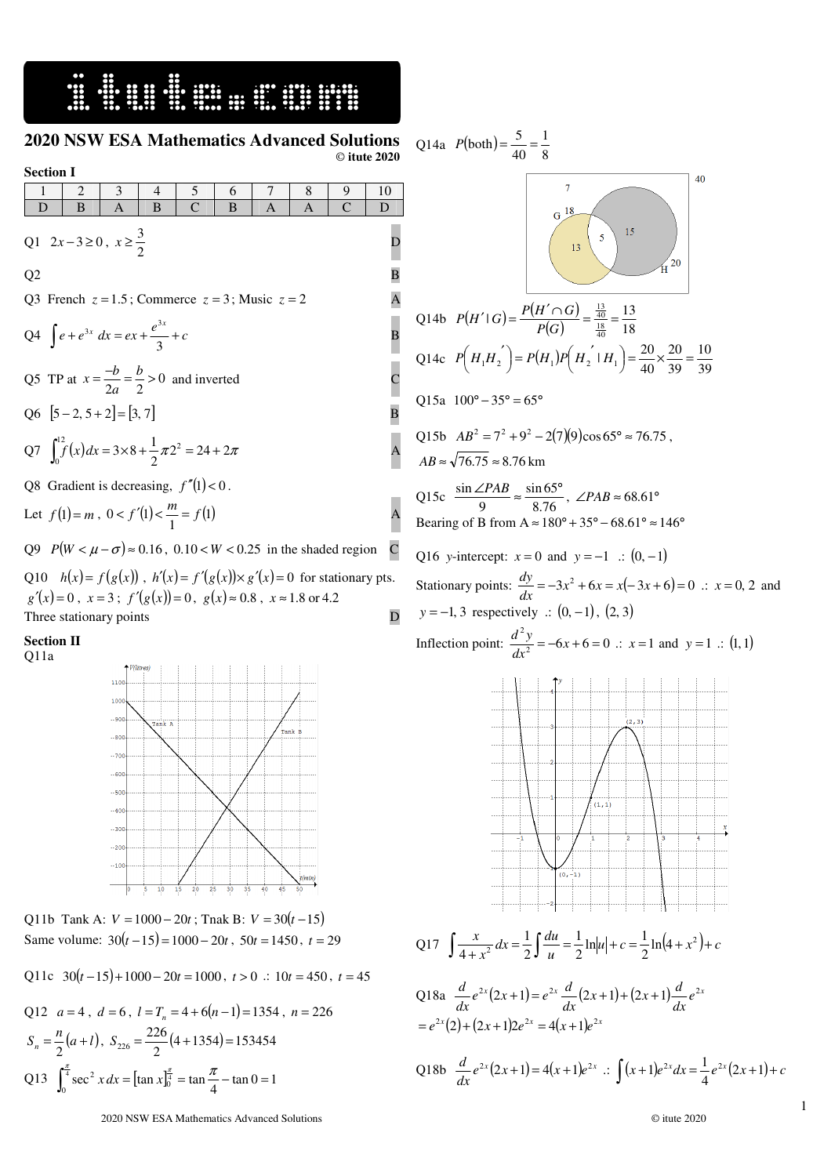## 16. STAND OF STANDARD STANDARD STANDARD STATES

## **2020 NSW ESA Mathematics Advanced Solutions** © **itute 2020**

 $\overline{a}$ 

## **Section I**

| 1                                                                                                                                                                | 2 | 3                                                                              | 4 | 5            | 6 | 7 | 8 | 9            | 10 |
|------------------------------------------------------------------------------------------------------------------------------------------------------------------|---|--------------------------------------------------------------------------------|---|--------------|---|---|---|--------------|----|
| D                                                                                                                                                                | B | $\overline{A}$                                                                 | B | $\mathsf{C}$ | B | A | A | $\mathsf{C}$ | D  |
| Q1 $2x-3\ge 0$ , $x\ge \frac{3}{2}$                                                                                                                              |   |                                                                                |   |              |   |   |   |              | D  |
| Q2                                                                                                                                                               |   |                                                                                |   |              |   |   |   |              | В  |
| Q3 French $z = 1.5$ ; Commerce $z = 3$ ; Music $z = 2$<br>A                                                                                                      |   |                                                                                |   |              |   |   |   |              |    |
| Q4 $\int e + e^{3x} dx = ex + \frac{e^{3x}}{3} + c$                                                                                                              |   |                                                                                |   |              |   |   |   |              | В  |
| Q5 TP at $x = \frac{-b}{2a} = \frac{b}{2} > 0$ and inverted                                                                                                      |   |                                                                                |   |              |   |   |   |              |    |
| Q6 $[5-2, 5+2]=[3, 7]$                                                                                                                                           |   |                                                                                |   |              |   |   |   |              | B  |
| Q7 $\int_{0}^{12} f(x) dx = 3 \times 8 + \frac{1}{2} \pi 2^{2} = 24 + 2 \pi$                                                                                     |   |                                                                                |   |              |   |   |   |              | A  |
| Q8 Gradient is decreasing, $f''(1) < 0$ .                                                                                                                        |   |                                                                                |   |              |   |   |   |              |    |
| Let $f(1) = m$ , $0 < f'(1) < \frac{m}{1} = f(1)$                                                                                                                |   |                                                                                |   |              |   |   |   |              | A  |
|                                                                                                                                                                  |   | Q9 $P(W < \mu - \sigma) \approx 0.16$ , $0.10 < W < 0.25$ in the shaded region |   |              |   |   |   |              | C  |
| Q10 $h(x) = f(g(x))$ , $h'(x) = f'(g(x)) \times g'(x) = 0$ for stationary pts.<br>$g'(x)=0$ , $x=3$ ; $f'(g(x))=0$ , $g(x) \approx 0.8$ , $x \approx 1.8$ or 4.2 |   |                                                                                |   |              |   |   |   |              |    |
|                                                                                                                                                                  |   | Three stationary points                                                        |   |              |   |   |   |              |    |

## **Section II**  Q11a



Q11b Tank A:  $V = 1000 - 20t$ ; Tnak B:  $V = 30(t - 15)$ Same volume:  $30(t-15) = 1000 - 20t$ ,  $50t = 1450$ ,  $t = 29$ 

Q11c 
$$
30(t-15)+1000-20t=1000
$$
,  $t > 0$  ::  $10t = 450$ ,  $t = 45$ 

Q12 
$$
a = 4
$$
,  $d = 6$ ,  $l = T_n = 4 + 6(n-1) = 1354$ ,  $n = 226$   
\n
$$
S_n = \frac{n}{2}(a+l), S_{226} = \frac{226}{2}(4+1354) = 153454
$$
\nQ13 
$$
\int_0^{\frac{\pi}{4}} \sec^2 x \, dx = \left[\tan x \right]_0^{\frac{\pi}{4}} = \tan \frac{\pi}{4} - \tan 0 = 1
$$

Q14a 
$$
P(\text{both}) = \frac{5}{40} = \frac{1}{8}
$$
  
\n  
\nQ14b  $P(H' | G) = \frac{P(H' \cap G)}{P(G)} = \frac{\frac{13}{40}}{\frac{13}{40}} = \frac{13}{18}$   
\nQ14c  $P(H_1 H_2') = P(H_1)P(H_2' | H_1) = \frac{20}{40} \times \frac{20}{39} = \frac{10}{39}$   
\nQ15a  $100^\circ - 35^\circ = 65^\circ$   
\nQ15b  $AB^2 = 7^2 + 9^2 - 2(7)(9)\cos 65^\circ \approx 76.75$ ,  
\n $AB \approx \sqrt{76.75} \approx 8.76 \text{ km}$   
\nQ15c  $\frac{\sin \angle PAB}{9} \approx \frac{\sin 65^\circ}{8.76}$ ,  $\angle PAB \approx 68.61^\circ$   
\nBearing of B from  $A \approx 180^\circ + 35^\circ - 68.61^\circ \approx 146^\circ$   
\nQ16 y-intercept:  $x = 0$  and  $y = -1$  :  $(0, -1)$   
\nStationary points:  $\frac{dy}{dx} = -3x^2 + 6x = x(-3x + 6) = 0$  :  $x = 0, 2$  and  
\n $y = -1, 3$  respectively :  $(0, -1), (2, 3)$   
\nInflection point:  $\frac{d^2y}{dx^2} = -6x + 6 = 0$  :  $x = 1$  and  $y = 1$  :  $(1, 1)$ 

Q17  $\int \frac{x}{4+x^2} dx = \frac{1}{2} \int \frac{du}{u} = \frac{1}{2} \ln|u| + c = \frac{1}{2} \ln(4+x^2) + c$  $\int \frac{x}{4+x^2} dx = \frac{1}{2} \int \frac{du}{u} = \frac{1}{2} \ln|u| + c = \frac{1}{2} \ln(4+x^2) +$  $\frac{1}{2}$ ln|u|+c =  $\frac{1}{2}$ 1 2 1 4

Q18a 
$$
\frac{d}{dx}e^{2x}(2x+1) = e^{2x}\frac{d}{dx}(2x+1) + (2x+1)\frac{d}{dx}e^{2x}
$$
  
=  $e^{2x}(2) + (2x+1)2e^{2x} = 4(x+1)e^{2x}$ 

Q18b 
$$
\frac{d}{dx}e^{2x}(2x+1) = 4(x+1)e^{2x}
$$
  $\therefore \int (x+1)e^{2x} dx = \frac{1}{4}e^{2x}(2x+1) + c$